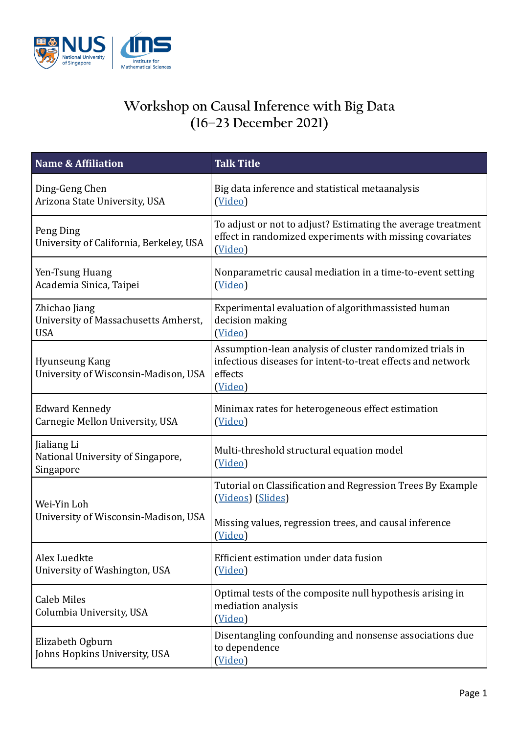

## **Workshop on Causal Inference with Big Data (16–23 December 2021)**

| <b>Name &amp; Affiliation</b>                                       | <b>Talk Title</b>                                                                                                                             |
|---------------------------------------------------------------------|-----------------------------------------------------------------------------------------------------------------------------------------------|
| Ding-Geng Chen<br>Arizona State University, USA                     | Big data inference and statistical metaanalysis<br>(Video)                                                                                    |
| Peng Ding<br>University of California, Berkeley, USA                | To adjust or not to adjust? Estimating the average treatment<br>effect in randomized experiments with missing covariates<br>(Video)           |
| Yen-Tsung Huang<br>Academia Sinica, Taipei                          | Nonparametric causal mediation in a time-to-event setting<br>(Video)                                                                          |
| Zhichao Jiang<br>University of Massachusetts Amherst,<br><b>USA</b> | Experimental evaluation of algorithmassisted human<br>decision making<br>(Video)                                                              |
| Hyunseung Kang<br>University of Wisconsin-Madison, USA              | Assumption-lean analysis of cluster randomized trials in<br>infectious diseases for intent-to-treat effects and network<br>effects<br>(Video) |
| <b>Edward Kennedy</b><br>Carnegie Mellon University, USA            | Minimax rates for heterogeneous effect estimation<br>(Video)                                                                                  |
| Jialiang Li<br>National University of Singapore,<br>Singapore       | Multi-threshold structural equation model<br>(Video)                                                                                          |
| Wei-Yin Loh<br>University of Wisconsin-Madison, USA                 | Tutorial on Classification and Regression Trees By Example<br>(Videos) (Slides)                                                               |
|                                                                     | Missing values, regression trees, and causal inference<br>(Video)                                                                             |
| Alex Luedkte<br>University of Washington, USA                       | Efficient estimation under data fusion<br>(Video)                                                                                             |
| <b>Caleb Miles</b><br>Columbia University, USA                      | Optimal tests of the composite null hypothesis arising in<br>mediation analysis<br>(Video)                                                    |
| Elizabeth Ogburn<br>Johns Hopkins University, USA                   | Disentangling confounding and nonsense associations due<br>to dependence<br>(Video)                                                           |